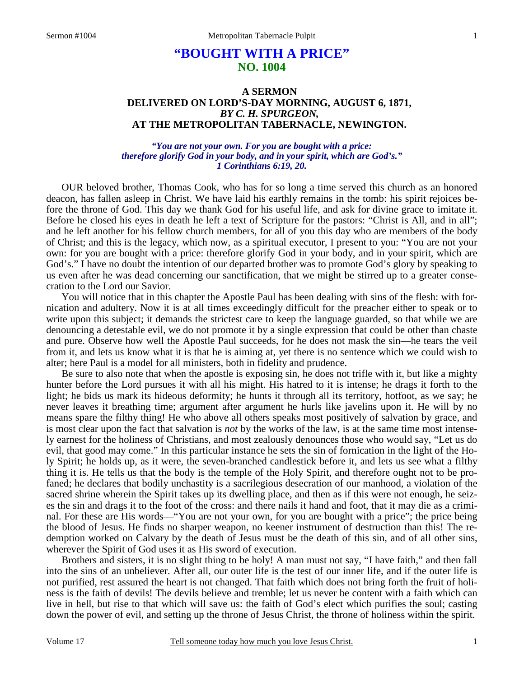# **"BOUGHT WITH A PRICE" NO. 1004**

## **A SERMON DELIVERED ON LORD'S-DAY MORNING, AUGUST 6, 1871,**  *BY C. H. SPURGEON,*  **AT THE METROPOLITAN TABERNACLE, NEWINGTON.**

*"You are not your own. For you are bought with a price: therefore glorify God in your body, and in your spirit, which are God's." 1 Corinthians 6:19, 20.* 

OUR beloved brother, Thomas Cook, who has for so long a time served this church as an honored deacon, has fallen asleep in Christ. We have laid his earthly remains in the tomb: his spirit rejoices before the throne of God. This day we thank God for his useful life, and ask for divine grace to imitate it. Before he closed his eyes in death he left a text of Scripture for the pastors: "Christ is All, and in all"; and he left another for his fellow church members, for all of you this day who are members of the body of Christ; and this is the legacy, which now, as a spiritual executor, I present to you: "You are not your own: for you are bought with a price: therefore glorify God in your body, and in your spirit, which are God's." I have no doubt the intention of our departed brother was to promote God's glory by speaking to us even after he was dead concerning our sanctification, that we might be stirred up to a greater consecration to the Lord our Savior.

You will notice that in this chapter the Apostle Paul has been dealing with sins of the flesh: with fornication and adultery. Now it is at all times exceedingly difficult for the preacher either to speak or to write upon this subject; it demands the strictest care to keep the language guarded, so that while we are denouncing a detestable evil, we do not promote it by a single expression that could be other than chaste and pure. Observe how well the Apostle Paul succeeds, for he does not mask the sin—he tears the veil from it, and lets us know what it is that he is aiming at, yet there is no sentence which we could wish to alter; here Paul is a model for all ministers, both in fidelity and prudence.

Be sure to also note that when the apostle is exposing sin, he does not trifle with it, but like a mighty hunter before the Lord pursues it with all his might. His hatred to it is intense; he drags it forth to the light; he bids us mark its hideous deformity; he hunts it through all its territory, hotfoot, as we say; he never leaves it breathing time; argument after argument he hurls like javelins upon it. He will by no means spare the filthy thing! He who above all others speaks most positively of salvation by grace, and is most clear upon the fact that salvation is *not* by the works of the law, is at the same time most intensely earnest for the holiness of Christians, and most zealously denounces those who would say, "Let us do evil, that good may come." In this particular instance he sets the sin of fornication in the light of the Holy Spirit; he holds up, as it were, the seven-branched candlestick before it, and lets us see what a filthy thing it is. He tells us that the body is the temple of the Holy Spirit, and therefore ought not to be profaned; he declares that bodily unchastity is a sacrilegious desecration of our manhood, a violation of the sacred shrine wherein the Spirit takes up its dwelling place, and then as if this were not enough, he seizes the sin and drags it to the foot of the cross: and there nails it hand and foot, that it may die as a criminal. For these are His words—"You are not your own, for you are bought with a price"; the price being the blood of Jesus. He finds no sharper weapon, no keener instrument of destruction than this! The redemption worked on Calvary by the death of Jesus must be the death of this sin, and of all other sins, wherever the Spirit of God uses it as His sword of execution.

Brothers and sisters, it is no slight thing to be holy! A man must not say, "I have faith," and then fall into the sins of an unbeliever. After all, our outer life is the test of our inner life, and if the outer life is not purified, rest assured the heart is not changed. That faith which does not bring forth the fruit of holiness is the faith of devils! The devils believe and tremble; let us never be content with a faith which can live in hell, but rise to that which will save us: the faith of God's elect which purifies the soul; casting down the power of evil, and setting up the throne of Jesus Christ, the throne of holiness within the spirit.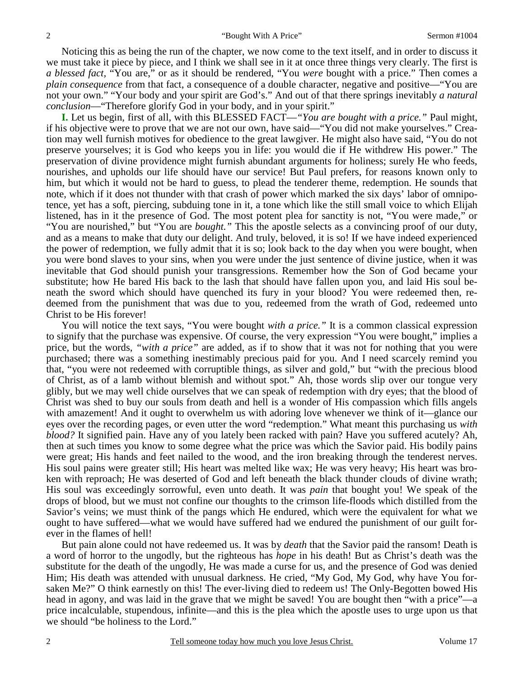Noticing this as being the run of the chapter, we now come to the text itself, and in order to discuss it we must take it piece by piece, and I think we shall see in it at once three things very clearly. The first is *a blessed fact,* "You are," or as it should be rendered, "You *were* bought with a price." Then comes a *plain consequence* from that fact, a consequence of a double character, negative and positive—"You are not your own." "Your body and your spirit are God's." And out of that there springs inevitably *a natural conclusion*—"Therefore glorify God in your body, and in your spirit."

**I.** Let us begin, first of all, with this BLESSED FACT—*"You are bought with a price."* Paul might, if his objective were to prove that we are not our own, have said—"You did not make yourselves." Creation may well furnish motives for obedience to the great lawgiver. He might also have said, "You do not preserve yourselves; it is God who keeps you in life: you would die if He withdrew His power." The preservation of divine providence might furnish abundant arguments for holiness; surely He who feeds, nourishes, and upholds our life should have our service! But Paul prefers, for reasons known only to him, but which it would not be hard to guess, to plead the tenderer theme, redemption. He sounds that note, which if it does not thunder with that crash of power which marked the six days' labor of omnipotence, yet has a soft, piercing, subduing tone in it, a tone which like the still small voice to which Elijah listened, has in it the presence of God. The most potent plea for sanctity is not, "You were made," or "You are nourished," but "You are *bought."* This the apostle selects as a convincing proof of our duty, and as a means to make that duty our delight. And truly, beloved, it is so! If we have indeed experienced the power of redemption, we fully admit that it is so; look back to the day when you were bought, when you were bond slaves to your sins, when you were under the just sentence of divine justice, when it was inevitable that God should punish your transgressions. Remember how the Son of God became your substitute; how He bared His back to the lash that should have fallen upon you, and laid His soul beneath the sword which should have quenched its fury in your blood? You were redeemed then, redeemed from the punishment that was due to you, redeemed from the wrath of God, redeemed unto Christ to be His forever!

You will notice the text says, "You were bought *with a price*." It is a common classical expression to signify that the purchase was expensive. Of course, the very expression "You were bought," implies a price, but the words, *"with a price"* are added, as if to show that it was not for nothing that you were purchased; there was a something inestimably precious paid for you. And I need scarcely remind you that, "you were not redeemed with corruptible things, as silver and gold," but "with the precious blood of Christ, as of a lamb without blemish and without spot." Ah, those words slip over our tongue very glibly, but we may well chide ourselves that we can speak of redemption with dry eyes; that the blood of Christ was shed to buy our souls from death and hell is a wonder of His compassion which fills angels with amazement! And it ought to overwhelm us with adoring love whenever we think of it—glance our eyes over the recording pages, or even utter the word "redemption." What meant this purchasing us *with blood?* It signified pain. Have any of you lately been racked with pain? Have you suffered acutely? Ah, then at such times you know to some degree what the price was which the Savior paid. His bodily pains were great; His hands and feet nailed to the wood, and the iron breaking through the tenderest nerves. His soul pains were greater still; His heart was melted like wax; He was very heavy; His heart was broken with reproach; He was deserted of God and left beneath the black thunder clouds of divine wrath; His soul was exceedingly sorrowful, even unto death. It was *pain* that bought you! We speak of the drops of blood, but we must not confine our thoughts to the crimson life-floods which distilled from the Savior's veins; we must think of the pangs which He endured, which were the equivalent for what we ought to have suffered—what we would have suffered had we endured the punishment of our guilt forever in the flames of hell!

But pain alone could not have redeemed us. It was by *death* that the Savior paid the ransom! Death is a word of horror to the ungodly, but the righteous has *hope* in his death! But as Christ's death was the substitute for the death of the ungodly, He was made a curse for us, and the presence of God was denied Him; His death was attended with unusual darkness. He cried, "My God, My God, why have You forsaken Me?" O think earnestly on this! The ever-living died to redeem us! The Only-Begotten bowed His head in agony, and was laid in the grave that we might be saved! You are bought then "with a price"—a price incalculable, stupendous, infinite—and this is the plea which the apostle uses to urge upon us that we should "be holiness to the Lord."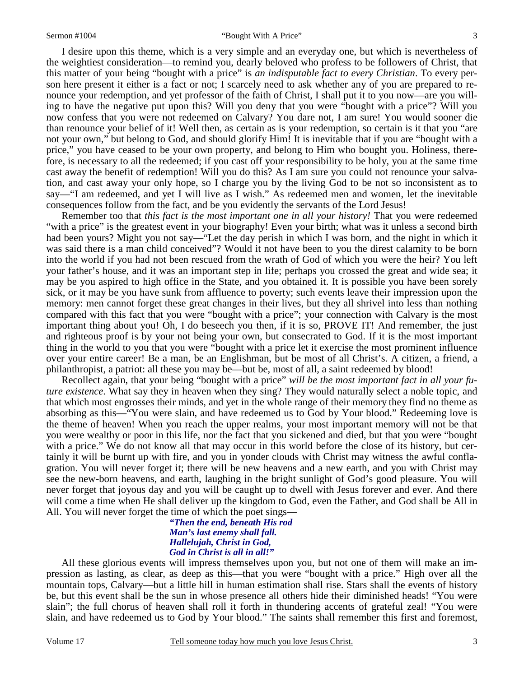I desire upon this theme, which is a very simple and an everyday one, but which is nevertheless of the weightiest consideration—to remind you, dearly beloved who profess to be followers of Christ, that this matter of your being "bought with a price" is *an indisputable fact to every Christian*. To every person here present it either is a fact or not; I scarcely need to ask whether any of you are prepared to renounce your redemption, and yet professor of the faith of Christ, I shall put it to you now—are you willing to have the negative put upon this? Will you deny that you were "bought with a price"? Will you now confess that you were not redeemed on Calvary? You dare not, I am sure! You would sooner die than renounce your belief of it! Well then, as certain as is your redemption, so certain is it that you "are not your own," but belong to God, and should glorify Him! It is inevitable that if you are "bought with a price," you have ceased to be your own property, and belong to Him who bought you. Holiness, therefore, is necessary to all the redeemed; if you cast off your responsibility to be holy, you at the same time cast away the benefit of redemption! Will you do this? As I am sure you could not renounce your salvation, and cast away your only hope, so I charge you by the living God to be not so inconsistent as to say—"I am redeemed, and yet I will live as I wish." As redeemed men and women, let the inevitable consequences follow from the fact, and be you evidently the servants of the Lord Jesus!

Remember too that *this fact is the most important one in all your history!* That you were redeemed "with a price" is the greatest event in your biography! Even your birth; what was it unless a second birth had been yours? Might you not say—"Let the day perish in which I was born, and the night in which it was said there is a man child conceived"? Would it not have been to you the direst calamity to be born into the world if you had not been rescued from the wrath of God of which you were the heir? You left your father's house, and it was an important step in life; perhaps you crossed the great and wide sea; it may be you aspired to high office in the State, and you obtained it. It is possible you have been sorely sick, or it may be you have sunk from affluence to poverty; such events leave their impression upon the memory: men cannot forget these great changes in their lives, but they all shrivel into less than nothing compared with this fact that you were "bought with a price"; your connection with Calvary is the most important thing about you! Oh, I do beseech you then, if it is so, PROVE IT! And remember, the just and righteous proof is by your not being your own, but consecrated to God. If it is the most important thing in the world to you that you were "bought with a price let it exercise the most prominent influence over your entire career! Be a man, be an Englishman, but be most of all Christ's. A citizen, a friend, a philanthropist, a patriot: all these you may be—but be, most of all, a saint redeemed by blood!

Recollect again, that your being "bought with a price" *will be the most important fact in all your future existence*. What say they in heaven when they sing? They would naturally select a noble topic, and that which most engrosses their minds, and yet in the whole range of their memory they find no theme as absorbing as this—"You were slain, and have redeemed us to God by Your blood." Redeeming love is the theme of heaven! When you reach the upper realms, your most important memory will not be that you were wealthy or poor in this life, nor the fact that you sickened and died, but that you were "bought with a price." We do not know all that may occur in this world before the close of its history, but certainly it will be burnt up with fire, and you in yonder clouds with Christ may witness the awful conflagration. You will never forget it; there will be new heavens and a new earth, and you with Christ may see the new-born heavens, and earth, laughing in the bright sunlight of God's good pleasure. You will never forget that joyous day and you will be caught up to dwell with Jesus forever and ever. And there will come a time when He shall deliver up the kingdom to God, even the Father, and God shall be All in All. You will never forget the time of which the poet sings—

### *"Then the end, beneath His rod Man's last enemy shall fall. Hallelujah, Christ in God, God in Christ is all in all!"*

All these glorious events will impress themselves upon you, but not one of them will make an impression as lasting, as clear, as deep as this—that you were "bought with a price." High over all the mountain tops, Calvary—but a little hill in human estimation shall rise. Stars shall the events of history be, but this event shall be the sun in whose presence all others hide their diminished heads! "You were slain"; the full chorus of heaven shall roll it forth in thundering accents of grateful zeal! "You were slain, and have redeemed us to God by Your blood." The saints shall remember this first and foremost,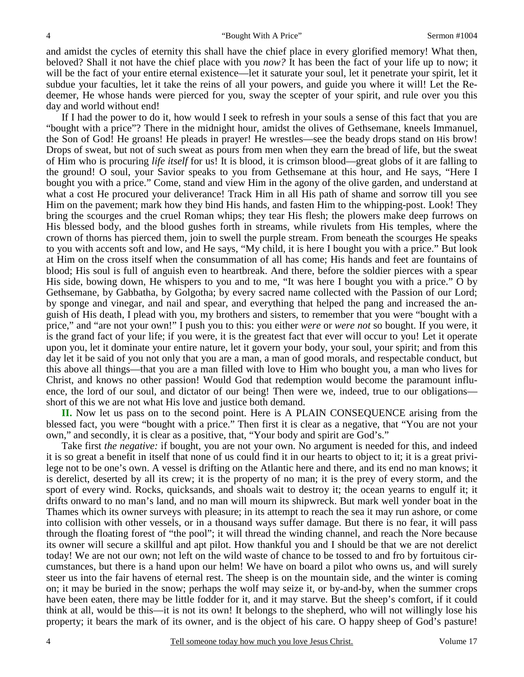and amidst the cycles of eternity this shall have the chief place in every glorified memory! What then, beloved? Shall it not have the chief place with you *now?* It has been the fact of your life up to now; it will be the fact of your entire eternal existence—let it saturate your soul, let it penetrate your spirit, let it subdue your faculties, let it take the reins of all your powers, and guide you where it will! Let the Redeemer, He whose hands were pierced for you, sway the scepter of your spirit, and rule over you this day and world without end!

If I had the power to do it, how would I seek to refresh in your souls a sense of this fact that you are "bought with a price"? There in the midnight hour, amidst the olives of Gethsemane, kneels Immanuel, the Son of God! He groans! He pleads in prayer! He wrestles—see the beady drops stand on His brow! Drops of sweat, but not of such sweat as pours from men when they earn the bread of life, but the sweat of Him who is procuring *life itself* for us! It is blood, it is crimson blood—great globs of it are falling to the ground! O soul, your Savior speaks to you from Gethsemane at this hour, and He says, "Here I bought you with a price." Come, stand and view Him in the agony of the olive garden, and understand at what a cost He procured your deliverance! Track Him in all His path of shame and sorrow till you see Him on the pavement; mark how they bind His hands, and fasten Him to the whipping-post. Look! They bring the scourges and the cruel Roman whips; they tear His flesh; the plowers make deep furrows on His blessed body, and the blood gushes forth in streams, while rivulets from His temples, where the crown of thorns has pierced them, join to swell the purple stream. From beneath the scourges He speaks to you with accents soft and low, and He says, "My child, it is here I bought you with a price." But look at Him on the cross itself when the consummation of all has come; His hands and feet are fountains of blood; His soul is full of anguish even to heartbreak. And there, before the soldier pierces with a spear His side, bowing down, He whispers to you and to me, "It was here I bought you with a price." O by Gethsemane, by Gabbatha, by Golgotha; by every sacred name collected with the Passion of our Lord; by sponge and vinegar, and nail and spear, and everything that helped the pang and increased the anguish of His death, I plead with you, my brothers and sisters, to remember that you were "bought with a price," and "are not your own!" I push you to this: you either *were* or *were not* so bought. If you were, it is the grand fact of your life; if you were, it is the greatest fact that ever will occur to you! Let it operate upon you, let it dominate your entire nature, let it govern your body, your soul, your spirit; and from this day let it be said of you not only that you are a man, a man of good morals, and respectable conduct, but this above all things—that you are a man filled with love to Him who bought you, a man who lives for Christ, and knows no other passion! Would God that redemption would become the paramount influence, the lord of our soul, and dictator of our being! Then were we, indeed, true to our obligations short of this we are not what His love and justice both demand.

**II.** Now let us pass on to the second point. Here is A PLAIN CONSEQUENCE arising from the blessed fact, you were "bought with a price." Then first it is clear as a negative, that "You are not your own," and secondly, it is clear as a positive, that, "Your body and spirit are God's."

Take first *the negative:* if bought, you are not your own. No argument is needed for this, and indeed it is so great a benefit in itself that none of us could find it in our hearts to object to it; it is a great privilege not to be one's own. A vessel is drifting on the Atlantic here and there, and its end no man knows; it is derelict, deserted by all its crew; it is the property of no man; it is the prey of every storm, and the sport of every wind. Rocks, quicksands, and shoals wait to destroy it; the ocean yearns to engulf it; it drifts onward to no man's land, and no man will mourn its shipwreck. But mark well yonder boat in the Thames which its owner surveys with pleasure; in its attempt to reach the sea it may run ashore, or come into collision with other vessels, or in a thousand ways suffer damage. But there is no fear, it will pass through the floating forest of "the pool"; it will thread the winding channel, and reach the Nore because its owner will secure a skillful and apt pilot. How thankful you and I should be that we are not derelict today! We are not our own; not left on the wild waste of chance to be tossed to and fro by fortuitous circumstances, but there is a hand upon our helm! We have on board a pilot who owns us, and will surely steer us into the fair havens of eternal rest. The sheep is on the mountain side, and the winter is coming on; it may be buried in the snow; perhaps the wolf may seize it, or by-and-by, when the summer crops have been eaten, there may be little fodder for it, and it may starve. But the sheep's comfort, if it could think at all, would be this—it is not its own! It belongs to the shepherd, who will not willingly lose his property; it bears the mark of its owner, and is the object of his care. O happy sheep of God's pasture!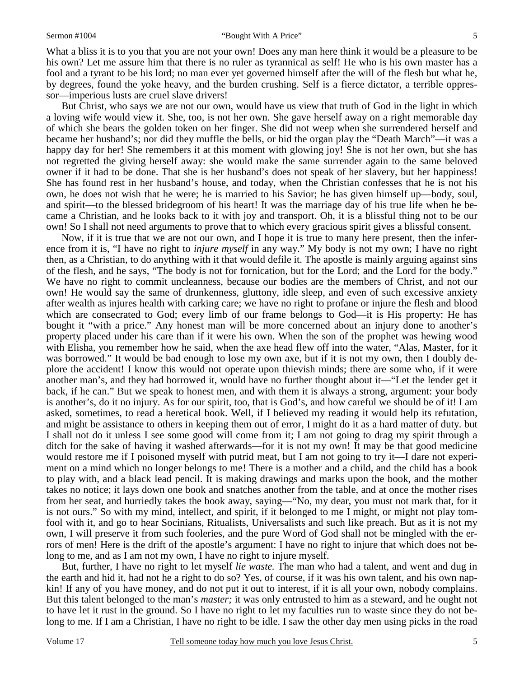What a bliss it is to you that you are not your own! Does any man here think it would be a pleasure to be his own? Let me assure him that there is no ruler as tyrannical as self! He who is his own master has a fool and a tyrant to be his lord; no man ever yet governed himself after the will of the flesh but what he, by degrees, found the yoke heavy, and the burden crushing. Self is a fierce dictator, a terrible oppressor—imperious lusts are cruel slave drivers!

But Christ, who says we are not our own, would have us view that truth of God in the light in which a loving wife would view it. She, too, is not her own. She gave herself away on a right memorable day of which she bears the golden token on her finger. She did not weep when she surrendered herself and became her husband's; nor did they muffle the bells, or bid the organ play the "Death March"—it was a happy day for her! She remembers it at this moment with glowing joy! She is not her own, but she has not regretted the giving herself away: she would make the same surrender again to the same beloved owner if it had to be done. That she is her husband's does not speak of her slavery, but her happiness! She has found rest in her husband's house, and today, when the Christian confesses that he is not his own, he does not wish that he were; he is married to his Savior; he has given himself up—body, soul, and spirit—to the blessed bridegroom of his heart! It was the marriage day of his true life when he became a Christian, and he looks back to it with joy and transport. Oh, it is a blissful thing not to be our own! So I shall not need arguments to prove that to which every gracious spirit gives a blissful consent.

Now, if it is true that we are not our own, and I hope it is true to many here present, then the inference from it is, "I have no right to *injure myself* in any way." My body is not my own; I have no right then, as a Christian, to do anything with it that would defile it. The apostle is mainly arguing against sins of the flesh, and he says, "The body is not for fornication, but for the Lord; and the Lord for the body." We have no right to commit uncleanness, because our bodies are the members of Christ, and not our own! He would say the same of drunkenness, gluttony, idle sleep, and even of such excessive anxiety after wealth as injures health with carking care; we have no right to profane or injure the flesh and blood which are consecrated to God; every limb of our frame belongs to God—it is His property: He has bought it "with a price." Any honest man will be more concerned about an injury done to another's property placed under his care than if it were his own. When the son of the prophet was hewing wood with Elisha, you remember how he said, when the axe head flew off into the water, "Alas, Master, for it was borrowed." It would be bad enough to lose my own axe, but if it is not my own, then I doubly deplore the accident! I know this would not operate upon thievish minds; there are some who, if it were another man's, and they had borrowed it, would have no further thought about it—"Let the lender get it back, if he can." But we speak to honest men, and with them it is always a strong, argument: your body is another's, do it no injury. As for our spirit, too, that is God's, and how careful we should be of it! I am asked, sometimes, to read a heretical book. Well, if I believed my reading it would help its refutation, and might be assistance to others in keeping them out of error, I might do it as a hard matter of duty. but I shall not do it unless I see some good will come from it; I am not going to drag my spirit through a ditch for the sake of having it washed afterwards—for it is not my own! It may be that good medicine would restore me if I poisoned myself with putrid meat, but I am not going to try it—I dare not experiment on a mind which no longer belongs to me! There is a mother and a child, and the child has a book to play with, and a black lead pencil. It is making drawings and marks upon the book, and the mother takes no notice; it lays down one book and snatches another from the table, and at once the mother rises from her seat, and hurriedly takes the book away, saying—"No, my dear, you must not mark that, for it is not ours." So with my mind, intellect, and spirit, if it belonged to me I might, or might not play tomfool with it, and go to hear Socinians, Ritualists, Universalists and such like preach. But as it is not my own, I will preserve it from such fooleries, and the pure Word of God shall not be mingled with the errors of men! Here is the drift of the apostle's argument: I have no right to injure that which does not belong to me, and as I am not my own, I have no right to injure myself.

But, further, I have no right to let myself *lie waste.* The man who had a talent, and went and dug in the earth and hid it, had not he a right to do so? Yes, of course, if it was his own talent, and his own napkin! If any of you have money, and do not put it out to interest, if it is all your own, nobody complains. But this talent belonged to the man's *master;* it was only entrusted to him as a steward, and he ought not to have let it rust in the ground. So I have no right to let my faculties run to waste since they do not belong to me. If I am a Christian, I have no right to be idle. I saw the other day men using picks in the road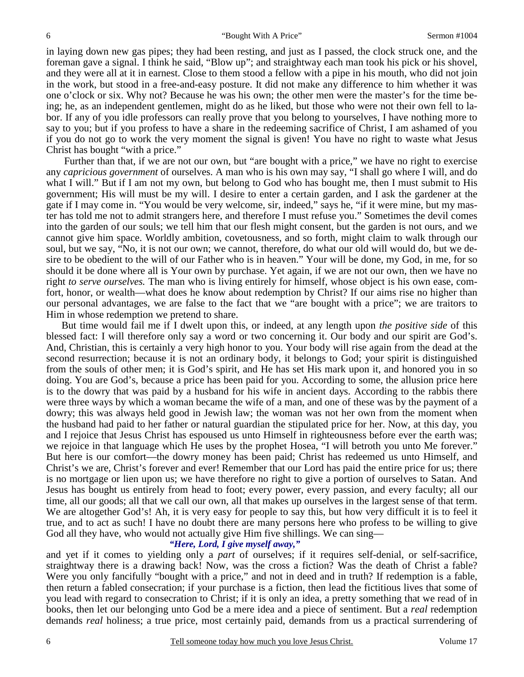in laying down new gas pipes; they had been resting, and just as I passed, the clock struck one, and the foreman gave a signal. I think he said, "Blow up"; and straightway each man took his pick or his shovel, and they were all at it in earnest. Close to them stood a fellow with a pipe in his mouth, who did not join in the work, but stood in a free-and-easy posture. It did not make any difference to him whether it was one o'clock or six. Why not? Because he was his own; the other men were the master's for the time being; he, as an independent gentlemen, might do as he liked, but those who were not their own fell to labor. If any of you idle professors can really prove that you belong to yourselves, I have nothing more to say to you; but if you profess to have a share in the redeeming sacrifice of Christ, I am ashamed of you if you do not go to work the very moment the signal is given! You have no right to waste what Jesus Christ has bought "with a price."

 Further than that, if we are not our own, but "are bought with a price," we have no right to exercise any *capricious government* of ourselves. A man who is his own may say, "I shall go where I will, and do what I will." But if I am not my own, but belong to God who has bought me, then I must submit to His government; His will must be my will. I desire to enter a certain garden, and I ask the gardener at the gate if I may come in. "You would be very welcome, sir, indeed," says he, "if it were mine, but my master has told me not to admit strangers here, and therefore I must refuse you." Sometimes the devil comes into the garden of our souls; we tell him that our flesh might consent, but the garden is not ours, and we cannot give him space. Worldly ambition, covetousness, and so forth, might claim to walk through our soul, but we say, "No, it is not our own; we cannot, therefore, do what our old will would do, but we desire to be obedient to the will of our Father who is in heaven." Your will be done, my God, in me, for so should it be done where all is Your own by purchase. Yet again, if we are not our own, then we have no right *to serve ourselves.* The man who is living entirely for himself, whose object is his own ease, comfort, honor, or wealth—what does he know about redemption by Christ? If our aims rise no higher than our personal advantages, we are false to the fact that we "are bought with a price"; we are traitors to Him in whose redemption we pretend to share.

But time would fail me if I dwelt upon this, or indeed, at any length upon *the positive side* of this blessed fact: I will therefore only say a word or two concerning it. Our body and our spirit are God's. And, Christian, this is certainly a very high honor to you. Your body will rise again from the dead at the second resurrection; because it is not an ordinary body, it belongs to God; your spirit is distinguished from the souls of other men; it is God's spirit, and He has set His mark upon it, and honored you in so doing. You are God's, because a price has been paid for you. According to some, the allusion price here is to the dowry that was paid by a husband for his wife in ancient days. According to the rabbis there were three ways by which a woman became the wife of a man, and one of these was by the payment of a dowry; this was always held good in Jewish law; the woman was not her own from the moment when the husband had paid to her father or natural guardian the stipulated price for her. Now, at this day, you and I rejoice that Jesus Christ has espoused us unto Himself in righteousness before ever the earth was; we rejoice in that language which He uses by the prophet Hosea, "I will betroth you unto Me forever." But here is our comfort—the dowry money has been paid; Christ has redeemed us unto Himself, and Christ's we are, Christ's forever and ever! Remember that our Lord has paid the entire price for us; there is no mortgage or lien upon us; we have therefore no right to give a portion of ourselves to Satan. And Jesus has bought us entirely from head to foot; every power, every passion, and every faculty; all our time, all our goods; all that we call our own, all that makes up ourselves in the largest sense of that term. We are altogether God's! Ah, it is very easy for people to say this, but how very difficult it is to feel it true, and to act as such! I have no doubt there are many persons here who profess to be willing to give God all they have, who would not actually give Him five shillings. We can sing—

*"Here, Lord, I give myself away,"* 

and yet if it comes to yielding only a *part* of ourselves; if it requires self-denial, or self-sacrifice, straightway there is a drawing back! Now, was the cross a fiction? Was the death of Christ a fable? Were you only fancifully "bought with a price," and not in deed and in truth? If redemption is a fable, then return a fabled consecration; if your purchase is a fiction, then lead the fictitious lives that some of you lead with regard to consecration to Christ; if it is only an idea, a pretty something that we read of in books, then let our belonging unto God be a mere idea and a piece of sentiment. But a *real* redemption demands *real* holiness; a true price, most certainly paid, demands from us a practical surrendering of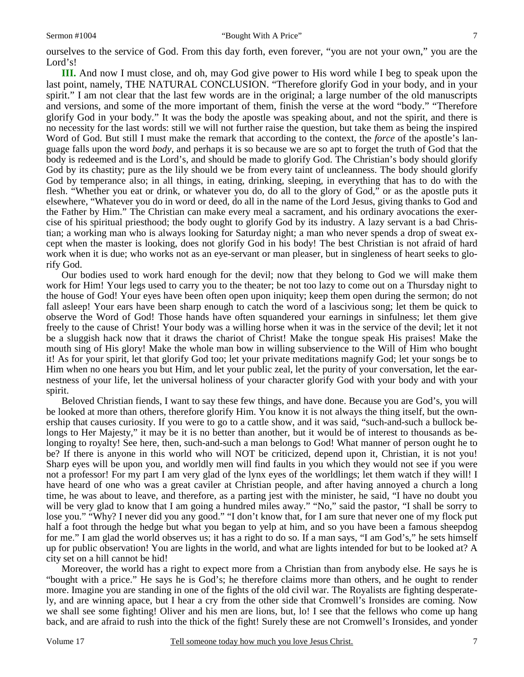**III.** And now I must close, and oh, may God give power to His word while I beg to speak upon the last point, namely, THE NATURAL CONCLUSION. "Therefore glorify God in your body, and in your spirit." I am not clear that the last few words are in the original; a large number of the old manuscripts and versions, and some of the more important of them, finish the verse at the word "body." "Therefore glorify God in your body." It was the body the apostle was speaking about, and not the spirit, and there is no necessity for the last words: still we will not further raise the question, but take them as being the inspired Word of God. But still I must make the remark that according to the context, the *force* of the apostle's language falls upon the word *body,* and perhaps it is so because we are so apt to forget the truth of God that the body is redeemed and is the Lord's, and should be made to glorify God. The Christian's body should glorify God by its chastity; pure as the lily should we be from every taint of uncleanness. The body should glorify God by temperance also; in all things, in eating, drinking, sleeping, in everything that has to do with the flesh. "Whether you eat or drink, or whatever you do, do all to the glory of God," or as the apostle puts it elsewhere, "Whatever you do in word or deed, do all in the name of the Lord Jesus, giving thanks to God and the Father by Him." The Christian can make every meal a sacrament, and his ordinary avocations the exercise of his spiritual priesthood; the body ought to glorify God by its industry. A lazy servant is a bad Christian; a working man who is always looking for Saturday night; a man who never spends a drop of sweat except when the master is looking, does not glorify God in his body! The best Christian is not afraid of hard work when it is due; who works not as an eye-servant or man pleaser, but in singleness of heart seeks to glorify God.

Our bodies used to work hard enough for the devil; now that they belong to God we will make them work for Him! Your legs used to carry you to the theater; be not too lazy to come out on a Thursday night to the house of God! Your eyes have been often open upon iniquity; keep them open during the sermon; do not fall asleep! Your ears have been sharp enough to catch the word of a lascivious song; let them be quick to observe the Word of God! Those hands have often squandered your earnings in sinfulness; let them give freely to the cause of Christ! Your body was a willing horse when it was in the service of the devil; let it not be a sluggish hack now that it draws the chariot of Christ! Make the tongue speak His praises! Make the mouth sing of His glory! Make the whole man bow in willing subservience to the Will of Him who bought it! As for your spirit, let that glorify God too; let your private meditations magnify God; let your songs be to Him when no one hears you but Him, and let your public zeal, let the purity of your conversation, let the earnestness of your life, let the universal holiness of your character glorify God with your body and with your spirit.

Beloved Christian fiends, I want to say these few things, and have done. Because you are God's, you will be looked at more than others, therefore glorify Him. You know it is not always the thing itself, but the ownership that causes curiosity. If you were to go to a cattle show, and it was said, "such-and-such a bullock belongs to Her Majesty," it may be it is no better than another, but it would be of interest to thousands as belonging to royalty! See here, then, such-and-such a man belongs to God! What manner of person ought he to be? If there is anyone in this world who will NOT be criticized, depend upon it, Christian, it is not you! Sharp eyes will be upon you, and worldly men will find faults in you which they would not see if you were not a professor! For my part I am very glad of the lynx eyes of the worldlings; let them watch if they will! I have heard of one who was a great caviler at Christian people, and after having annoyed a church a long time, he was about to leave, and therefore, as a parting jest with the minister, he said, "I have no doubt you will be very glad to know that I am going a hundred miles away." "No," said the pastor, "I shall be sorry to lose you." "Why? I never did you any good." "I don't know that, for I am sure that never one of my flock put half a foot through the hedge but what you began to yelp at him, and so you have been a famous sheepdog for me." I am glad the world observes us; it has a right to do so. If a man says, "I am God's," he sets himself up for public observation! You are lights in the world, and what are lights intended for but to be looked at? A city set on a hill cannot be hid!

Moreover, the world has a right to expect more from a Christian than from anybody else. He says he is "bought with a price." He says he is God's; he therefore claims more than others, and he ought to render more. Imagine you are standing in one of the fights of the old civil war. The Royalists are fighting desperately, and are winning apace, but I hear a cry from the other side that Cromwell's Ironsides are coming. Now we shall see some fighting! Oliver and his men are lions, but, lo! I see that the fellows who come up hang back, and are afraid to rush into the thick of the fight! Surely these are not Cromwell's Ironsides, and yonder